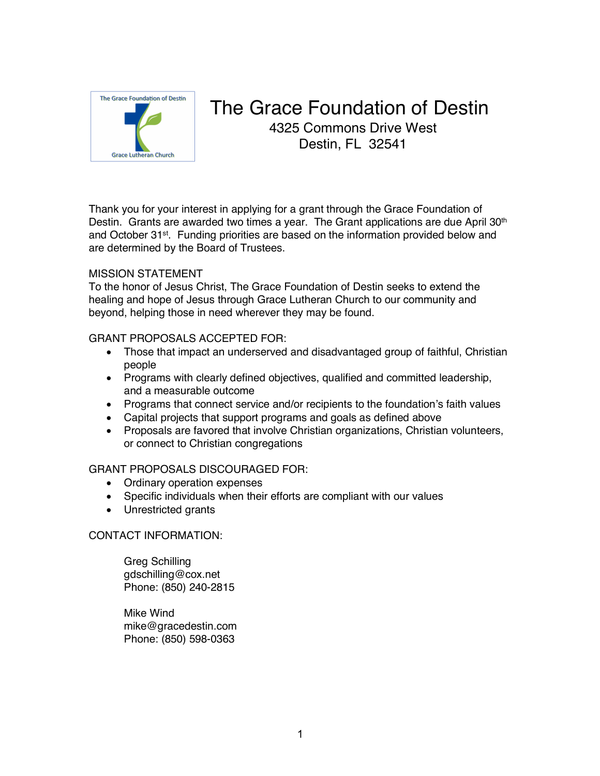

## The Grace Foundation of Destin 4325 Commons Drive West Destin, FL 32541

Thank you for your interest in applying for a grant through the Grace Foundation of Destin. Grants are awarded two times a year. The Grant applications are due April 30<sup>th</sup> and October 31st. Funding priorities are based on the information provided below and are determined by the Board of Trustees.

## MISSION STATEMENT

To the honor of Jesus Christ, The Grace Foundation of Destin seeks to extend the healing and hope of Jesus through Grace Lutheran Church to our community and beyond, helping those in need wherever they may be found.

## GRANT PROPOSALS ACCEPTED FOR:

- Those that impact an underserved and disadvantaged group of faithful, Christian people
- Programs with clearly defined objectives, qualified and committed leadership, and a measurable outcome
- Programs that connect service and/or recipients to the foundation's faith values
- Capital projects that support programs and goals as defined above
- Proposals are favored that involve Christian organizations, Christian volunteers, or connect to Christian congregations

## GRANT PROPOSALS DISCOURAGED FOR:

- Ordinary operation expenses
- Specific individuals when their efforts are compliant with our values
- Unrestricted grants

## CONTACT INFORMATION:

Greg Schilling gdschilling@cox.net Phone: (850) 240-2815

Mike Wind mike@gracedestin.com Phone: (850) 598-0363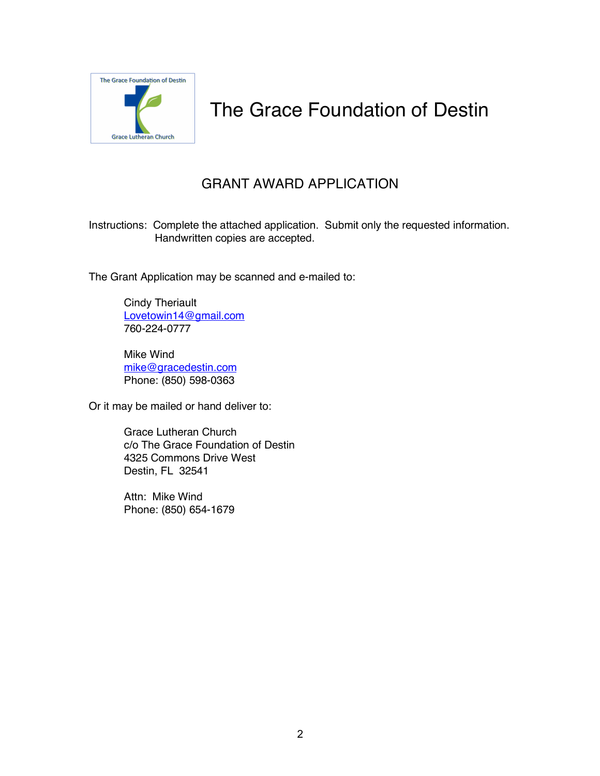

# The Grace Foundation of Destin

## GRANT AWARD APPLICATION

Instructions: Complete the attached application. Submit only the requested information. Handwritten copies are accepted.

The Grant Application may be scanned and e-mailed to:

Cindy Theriault Lovetowin14@gmail.com 760-224-0777

Mike Wind mike@gracedestin.com Phone: (850) 598-0363

Or it may be mailed or hand deliver to:

Grace Lutheran Church c/o The Grace Foundation of Destin 4325 Commons Drive West Destin, FL 32541

Attn: Mike Wind Phone: (850) 654-1679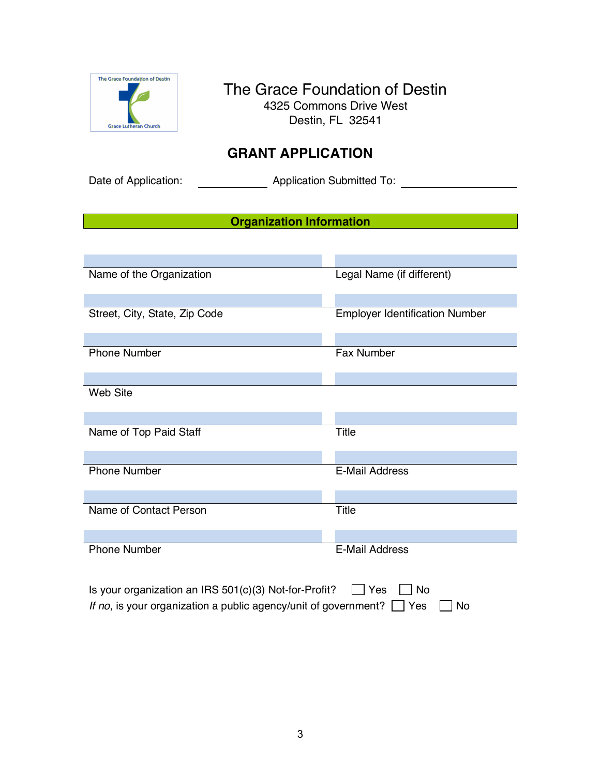

## The Grace Foundation of Destin 4325 Commons Drive West Destin, FL 32541

## **GRANT APPLICATION**

Date of Application: <br>
Application Submitted To:

## **Organization Information**

| Name of the Organization                                                  | Legal Name (if different)             |  |
|---------------------------------------------------------------------------|---------------------------------------|--|
|                                                                           |                                       |  |
| Street, City, State, Zip Code                                             | <b>Employer Identification Number</b> |  |
|                                                                           |                                       |  |
| <b>Phone Number</b>                                                       | Fax Number                            |  |
|                                                                           |                                       |  |
| Web Site                                                                  |                                       |  |
|                                                                           |                                       |  |
| Name of Top Paid Staff                                                    | <b>Title</b>                          |  |
|                                                                           |                                       |  |
| <b>Phone Number</b>                                                       | <b>E-Mail Address</b>                 |  |
|                                                                           |                                       |  |
| Name of Contact Person                                                    | Title                                 |  |
|                                                                           |                                       |  |
| <b>Phone Number</b>                                                       | <b>E-Mail Address</b>                 |  |
| Is your organization an IRS 501(c)(3) Not-for-Profit?<br>Yes<br><b>No</b> |                                       |  |

*If no*, is your organization a public agency/unit of government?  $\Box$  Yes  $\Box$  No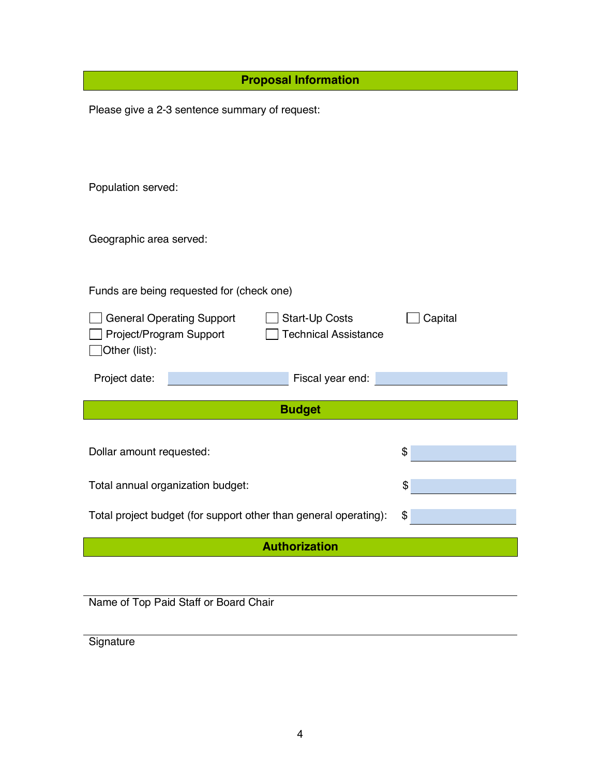| <b>Proposal Information</b>                                             |         |  |
|-------------------------------------------------------------------------|---------|--|
| Please give a 2-3 sentence summary of request:                          |         |  |
|                                                                         |         |  |
|                                                                         |         |  |
| Population served:                                                      |         |  |
|                                                                         |         |  |
| Geographic area served:                                                 |         |  |
|                                                                         |         |  |
| Funds are being requested for (check one)                               |         |  |
| <b>General Operating Support</b><br>Start-Up Costs                      | Capital |  |
| Project/Program Support<br><b>Technical Assistance</b><br>Other (list): |         |  |
| Fiscal year end:<br>Project date:                                       |         |  |
|                                                                         |         |  |
| <b>Budget</b>                                                           |         |  |
| Dollar amount requested:                                                | \$      |  |
|                                                                         | \$      |  |
| Total annual organization budget:                                       |         |  |
| Total project budget (for support other than general operating):        | \$      |  |
| <b>Authorization</b>                                                    |         |  |
|                                                                         |         |  |
| Name of Top Paid Staff or Board Chair                                   |         |  |

**Signature**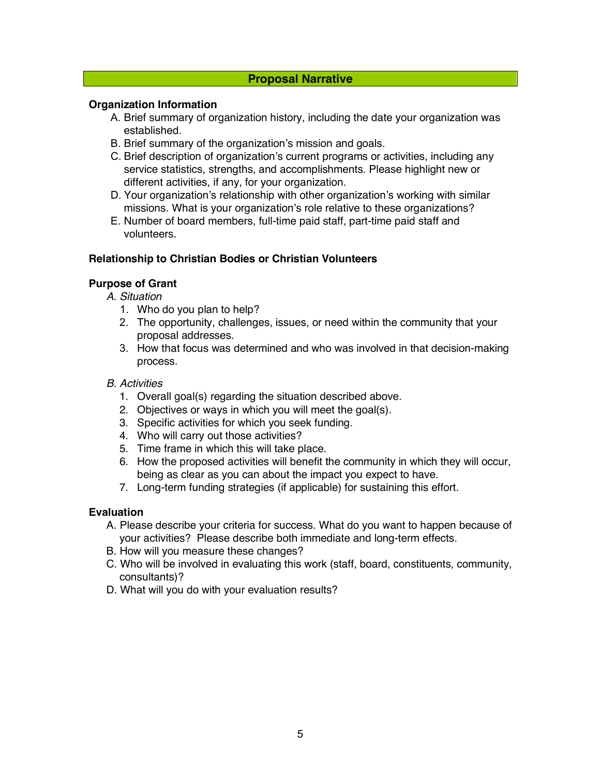## **Proposal Narrative**

## **Organization Information**

- A. Brief summary of organization history, including the date your organization was established.
- B. Brief summary of the organization's mission and goals.
- C. Brief description of organization's current programs or activities, including any service statistics, strengths, and accomplishments. Please highlight new or different activities, if any, for your organization.
- D. Your organization's relationship with other organization's working with similar missions. What is your organization's role relative to these organizations?
- E. Number of board members, full-time paid staff, part-time paid staff and volunteers.

#### **Relationship to Christian Bodies or Christian Volunteers**

## **Purpose of Grant**

*A. Situation*

- 1. Who do you plan to help?
- 2. The opportunity, challenges, issues, or need within the community that your proposal addresses.
- 3. How that focus was determined and who was involved in that decision-making process.

#### *B. Activities*

- 1. Overall goal(s) regarding the situation described above.
- 2. Objectives or ways in which you will meet the goal(s).
- 3. Specific activities for which you seek funding.
- 4. Who will carry out those activities?
- 5. Time frame in which this will take place.
- 6. How the proposed activities will benefit the community in which they will occur, being as clear as you can about the impact you expect to have.
- 7. Long-term funding strategies (if applicable) for sustaining this effort.

## **Evaluation**

- A. Please describe your criteria for success. What do you want to happen because of your activities? Please describe both immediate and long-term effects.
- B. How will you measure these changes?
- C. Who will be involved in evaluating this work (staff, board, constituents, community, consultants)?
- D. What will you do with your evaluation results?